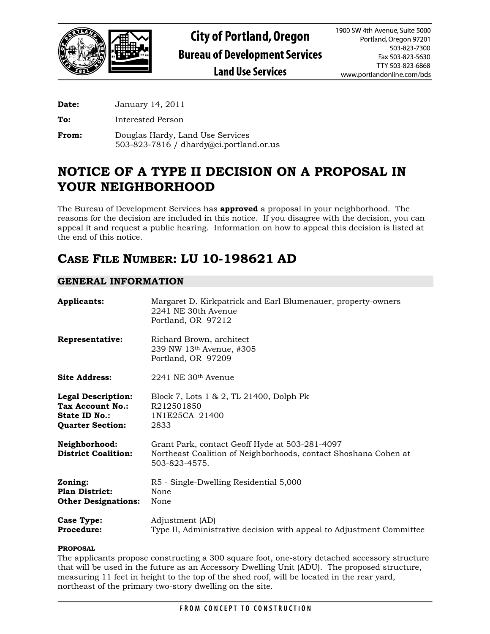

**Date:** January 14, 2011

**To:** Interested Person

**From:** Douglas Hardy, Land Use Services 503-823-7816 / dhardy@ci.portland.or.us

# **NOTICE OF A TYPE II DECISION ON A PROPOSAL IN YOUR NEIGHBORHOOD**

The Bureau of Development Services has **approved** a proposal in your neighborhood. The reasons for the decision are included in this notice. If you disagree with the decision, you can appeal it and request a public hearing. Information on how to appeal this decision is listed at the end of this notice.

# **CASE FILE NUMBER: LU 10-198621 AD**

# **GENERAL INFORMATION**

| <b>Applicants:</b>                                                                        | Margaret D. Kirkpatrick and Earl Blumenauer, property-owners<br>2241 NE 30th Avenue<br>Portland, OR 97212                          |
|-------------------------------------------------------------------------------------------|------------------------------------------------------------------------------------------------------------------------------------|
| Representative:                                                                           | Richard Brown, architect<br>239 NW 13th Avenue, #305<br>Portland, OR 97209                                                         |
| <b>Site Address:</b>                                                                      | $2241$ NE $30th$ Avenue                                                                                                            |
| <b>Legal Description:</b><br>Tax Account No.:<br>State ID No.:<br><b>Quarter Section:</b> | Block 7, Lots 1 & 2, TL 21400, Dolph Pk<br>R212501850<br>1N1E25CA 21400<br>2833                                                    |
| Neighborhood:<br><b>District Coalition:</b>                                               | Grant Park, contact Geoff Hyde at 503-281-4097<br>Northeast Coalition of Neighborhoods, contact Shoshana Cohen at<br>503-823-4575. |
| Zoning:<br><b>Plan District:</b><br><b>Other Designations:</b>                            | R5 - Single-Dwelling Residential 5,000<br>None<br>None                                                                             |
| <b>Case Type:</b><br><b>Procedure:</b>                                                    | Adjustment (AD)<br>Type II, Administrative decision with appeal to Adjustment Committee                                            |

### **PROPOSAL**

The applicants propose constructing a 300 square foot, one-story detached accessory structure that will be used in the future as an Accessory Dwelling Unit (ADU). The proposed structure, measuring 11 feet in height to the top of the shed roof, will be located in the rear yard, northeast of the primary two-story dwelling on the site.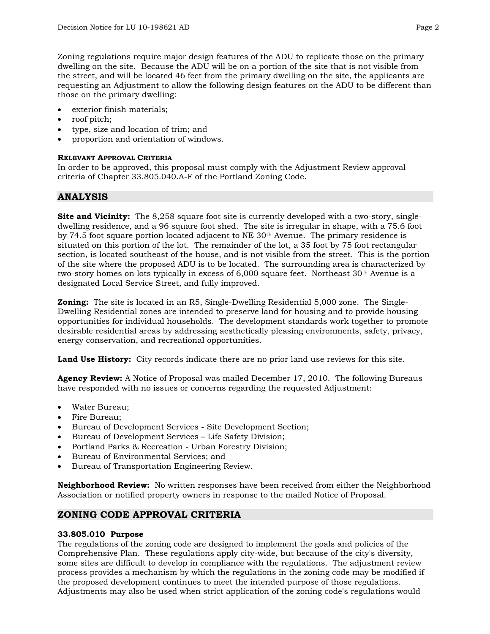Zoning regulations require major design features of the ADU to replicate those on the primary dwelling on the site. Because the ADU will be on a portion of the site that is not visible from the street, and will be located 46 feet from the primary dwelling on the site, the applicants are requesting an Adjustment to allow the following design features on the ADU to be different than those on the primary dwelling:

- exterior finish materials;
- roof pitch;
- type, size and location of trim; and
- proportion and orientation of windows.

### **RELEVANT APPROVAL CRITERIA**

In order to be approved, this proposal must comply with the Adjustment Review approval criteria of Chapter 33.805.040.A-F of the Portland Zoning Code.

# **ANALYSIS**

**Site and Vicinity:** The 8,258 square foot site is currently developed with a two-story, singledwelling residence, and a 96 square foot shed. The site is irregular in shape, with a 75.6 foot by 74.5 foot square portion located adjacent to  $NE$  30<sup>th</sup> Avenue. The primary residence is situated on this portion of the lot. The remainder of the lot, a 35 foot by 75 foot rectangular section, is located southeast of the house, and is not visible from the street. This is the portion of the site where the proposed ADU is to be located. The surrounding area is characterized by two-story homes on lots typically in excess of 6,000 square feet. Northeast 30<sup>th</sup> Avenue is a designated Local Service Street, and fully improved.

**Zoning:** The site is located in an R5, Single-Dwelling Residential 5,000 zone. The Single-Dwelling Residential zones are intended to preserve land for housing and to provide housing opportunities for individual households. The development standards work together to promote desirable residential areas by addressing aesthetically pleasing environments, safety, privacy, energy conservation, and recreational opportunities.

**Land Use History:** City records indicate there are no prior land use reviews for this site.

**Agency Review:** A Notice of Proposal was mailed December 17, 2010. The following Bureaus have responded with no issues or concerns regarding the requested Adjustment:

- Water Bureau;
- Fire Bureau;
- Bureau of Development Services Site Development Section;
- Bureau of Development Services Life Safety Division;
- Portland Parks & Recreation Urban Forestry Division;
- Bureau of Environmental Services; and
- Bureau of Transportation Engineering Review.

**Neighborhood Review:** No written responses have been received from either the Neighborhood Association or notified property owners in response to the mailed Notice of Proposal.

# **ZONING CODE APPROVAL CRITERIA**

### **33.805.010 Purpose**

The regulations of the zoning code are designed to implement the goals and policies of the Comprehensive Plan. These regulations apply city-wide, but because of the city's diversity, some sites are difficult to develop in compliance with the regulations. The adjustment review process provides a mechanism by which the regulations in the zoning code may be modified if the proposed development continues to meet the intended purpose of those regulations. Adjustments may also be used when strict application of the zoning code's regulations would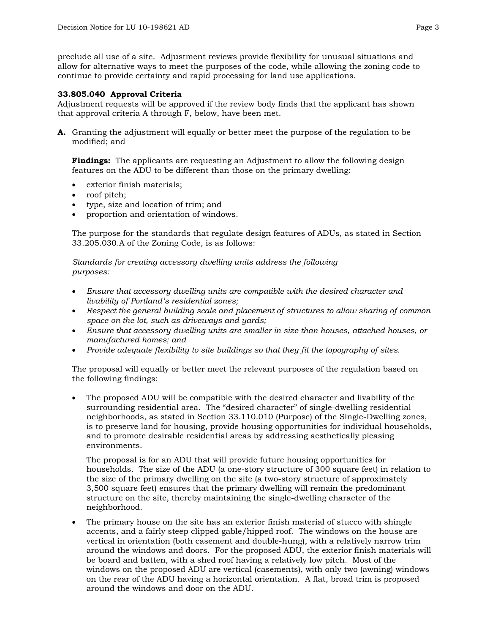preclude all use of a site. Adjustment reviews provide flexibility for unusual situations and allow for alternative ways to meet the purposes of the code, while allowing the zoning code to continue to provide certainty and rapid processing for land use applications.

#### **33.805.040 Approval Criteria**

Adjustment requests will be approved if the review body finds that the applicant has shown that approval criteria A through F, below, have been met.

**A.** Granting the adjustment will equally or better meet the purpose of the regulation to be modified; and

**Findings:** The applicants are requesting an Adjustment to allow the following design features on the ADU to be different than those on the primary dwelling:

- exterior finish materials;
- roof pitch;
- type, size and location of trim; and
- proportion and orientation of windows.

The purpose for the standards that regulate design features of ADUs, as stated in Section 33.205.030.A of the Zoning Code, is as follows:

*Standards for creating accessory dwelling units address the following purposes:* 

- *Ensure that accessory dwelling units are compatible with the desired character and livability of Portland's residential zones;*
- *Respect the general building scale and placement of structures to allow sharing of common space on the lot, such as driveways and yards;*
- *Ensure that accessory dwelling units are smaller in size than houses, attached houses, or manufactured homes; and*
- *Provide adequate flexibility to site buildings so that they fit the topography of sites.*

The proposal will equally or better meet the relevant purposes of the regulation based on the following findings:

• The proposed ADU will be compatible with the desired character and livability of the surrounding residential area. The "desired character" of single-dwelling residential neighborhoods, as stated in Section 33.110.010 (Purpose) of the Single-Dwelling zones, is to preserve land for housing, provide housing opportunities for individual households, and to promote desirable residential areas by addressing aesthetically pleasing environments.

The proposal is for an ADU that will provide future housing opportunities for households. The size of the ADU (a one-story structure of 300 square feet) in relation to the size of the primary dwelling on the site (a two-story structure of approximately 3,500 square feet) ensures that the primary dwelling will remain the predominant structure on the site, thereby maintaining the single-dwelling character of the neighborhood.

The primary house on the site has an exterior finish material of stucco with shingle accents, and a fairly steep clipped gable/hipped roof. The windows on the house are vertical in orientation (both casement and double-hung), with a relatively narrow trim around the windows and doors. For the proposed ADU, the exterior finish materials will be board and batten, with a shed roof having a relatively low pitch. Most of the windows on the proposed ADU are vertical (casements), with only two (awning) windows on the rear of the ADU having a horizontal orientation. A flat, broad trim is proposed around the windows and door on the ADU.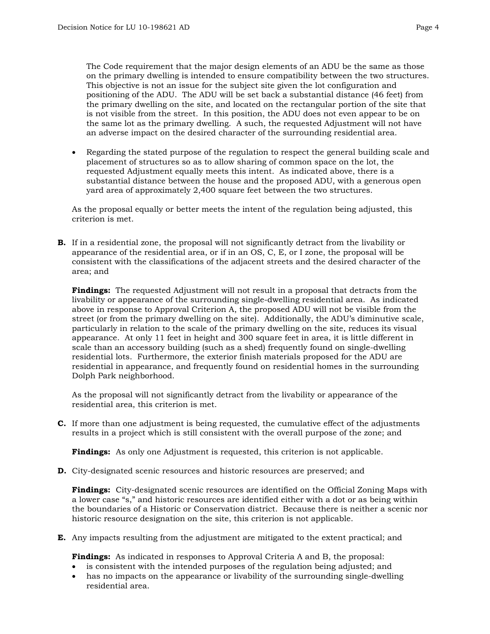The Code requirement that the major design elements of an ADU be the same as those on the primary dwelling is intended to ensure compatibility between the two structures. This objective is not an issue for the subject site given the lot configuration and positioning of the ADU. The ADU will be set back a substantial distance (46 feet) from the primary dwelling on the site, and located on the rectangular portion of the site that is not visible from the street. In this position, the ADU does not even appear to be on the same lot as the primary dwelling. A such, the requested Adjustment will not have an adverse impact on the desired character of the surrounding residential area.

• Regarding the stated purpose of the regulation to respect the general building scale and placement of structures so as to allow sharing of common space on the lot, the requested Adjustment equally meets this intent. As indicated above, there is a substantial distance between the house and the proposed ADU, with a generous open yard area of approximately 2,400 square feet between the two structures.

As the proposal equally or better meets the intent of the regulation being adjusted, this criterion is met.

**B.** If in a residential zone, the proposal will not significantly detract from the livability or appearance of the residential area, or if in an OS, C, E, or I zone, the proposal will be consistent with the classifications of the adjacent streets and the desired character of the area; and

**Findings:** The requested Adjustment will not result in a proposal that detracts from the livability or appearance of the surrounding single-dwelling residential area. As indicated above in response to Approval Criterion A, the proposed ADU will not be visible from the street (or from the primary dwelling on the site). Additionally, the ADU's diminutive scale, particularly in relation to the scale of the primary dwelling on the site, reduces its visual appearance. At only 11 feet in height and 300 square feet in area, it is little different in scale than an accessory building (such as a shed) frequently found on single-dwelling residential lots. Furthermore, the exterior finish materials proposed for the ADU are residential in appearance, and frequently found on residential homes in the surrounding Dolph Park neighborhood.

As the proposal will not significantly detract from the livability or appearance of the residential area, this criterion is met.

**C.** If more than one adjustment is being requested, the cumulative effect of the adjustments results in a project which is still consistent with the overall purpose of the zone; and

**Findings:** As only one Adjustment is requested, this criterion is not applicable.

**D.** City-designated scenic resources and historic resources are preserved; and

**Findings:** City-designated scenic resources are identified on the Official Zoning Maps with a lower case "s," and historic resources are identified either with a dot or as being within the boundaries of a Historic or Conservation district. Because there is neither a scenic nor historic resource designation on the site, this criterion is not applicable.

**E.** Any impacts resulting from the adjustment are mitigated to the extent practical; and

**Findings:** As indicated in responses to Approval Criteria A and B, the proposal:

- is consistent with the intended purposes of the regulation being adjusted; and
- has no impacts on the appearance or livability of the surrounding single-dwelling residential area.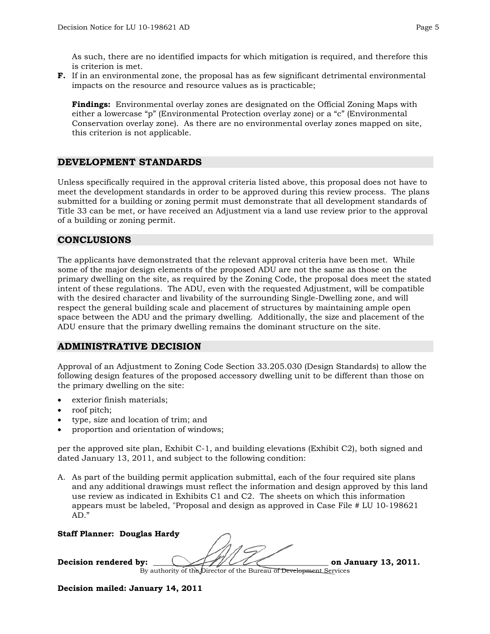As such, there are no identified impacts for which mitigation is required, and therefore this is criterion is met.

**F.** If in an environmental zone, the proposal has as few significant detrimental environmental impacts on the resource and resource values as is practicable;

**Findings:** Environmental overlay zones are designated on the Official Zoning Maps with either a lowercase "p" (Environmental Protection overlay zone) or a "c" (Environmental Conservation overlay zone). As there are no environmental overlay zones mapped on site, this criterion is not applicable.

# **DEVELOPMENT STANDARDS**

Unless specifically required in the approval criteria listed above, this proposal does not have to meet the development standards in order to be approved during this review process. The plans submitted for a building or zoning permit must demonstrate that all development standards of Title 33 can be met, or have received an Adjustment via a land use review prior to the approval of a building or zoning permit.

# **CONCLUSIONS**

The applicants have demonstrated that the relevant approval criteria have been met. While some of the major design elements of the proposed ADU are not the same as those on the primary dwelling on the site, as required by the Zoning Code, the proposal does meet the stated intent of these regulations. The ADU, even with the requested Adjustment, will be compatible with the desired character and livability of the surrounding Single-Dwelling zone, and will respect the general building scale and placement of structures by maintaining ample open space between the ADU and the primary dwelling. Additionally, the size and placement of the ADU ensure that the primary dwelling remains the dominant structure on the site.

# **ADMINISTRATIVE DECISION**

Approval of an Adjustment to Zoning Code Section 33.205.030 (Design Standards) to allow the following design features of the proposed accessory dwelling unit to be different than those on the primary dwelling on the site:

- exterior finish materials;
- roof pitch;
- type, size and location of trim; and
- proportion and orientation of windows;

per the approved site plan, Exhibit C-1, and building elevations (Exhibit C2), both signed and dated January 13, 2011, and subject to the following condition:

A. As part of the building permit application submittal, each of the four required site plans and any additional drawings must reflect the information and design approved by this land use review as indicated in Exhibits C1 and C2. The sheets on which this information appears must be labeled, "Proposal and design as approved in Case File # LU 10-198621 AD."

#### **Staff Planner: Douglas Hardy**

Decision rendered by:  $\sqrt{1/\sqrt{1-\epsilon}}$  on January 13, 2011.

By authority of the Director of the Bureau of Development Services

**Decision mailed: January 14, 2011**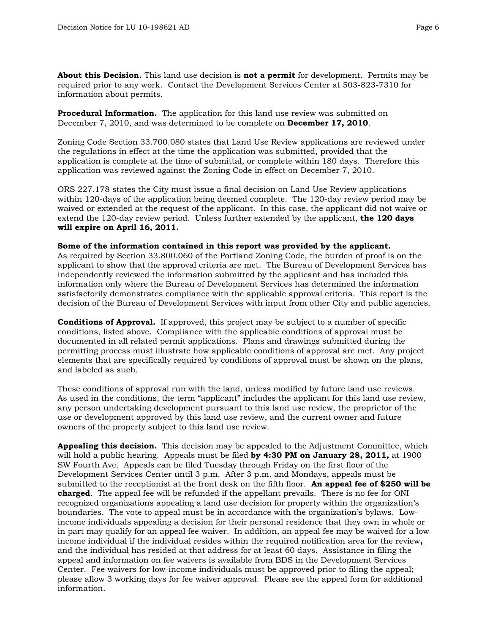**About this Decision.** This land use decision is **not a permit** for development. Permits may be required prior to any work. Contact the Development Services Center at 503-823-7310 for information about permits.

**Procedural Information.** The application for this land use review was submitted on December 7, 2010, and was determined to be complete on **December 17, 2010**.

Zoning Code Section 33.700.080 states that Land Use Review applications are reviewed under the regulations in effect at the time the application was submitted, provided that the application is complete at the time of submittal, or complete within 180 days. Therefore this application was reviewed against the Zoning Code in effect on December 7, 2010.

ORS 227.178 states the City must issue a final decision on Land Use Review applications within 120-days of the application being deemed complete. The 120-day review period may be waived or extended at the request of the applicant. In this case, the applicant did not waive or extend the 120-day review period. Unless further extended by the applicant, **the 120 days will expire on April 16, 2011.**

#### **Some of the information contained in this report was provided by the applicant.**

As required by Section 33.800.060 of the Portland Zoning Code, the burden of proof is on the applicant to show that the approval criteria are met. The Bureau of Development Services has independently reviewed the information submitted by the applicant and has included this information only where the Bureau of Development Services has determined the information satisfactorily demonstrates compliance with the applicable approval criteria. This report is the decision of the Bureau of Development Services with input from other City and public agencies.

**Conditions of Approval.** If approved, this project may be subject to a number of specific conditions, listed above. Compliance with the applicable conditions of approval must be documented in all related permit applications. Plans and drawings submitted during the permitting process must illustrate how applicable conditions of approval are met. Any project elements that are specifically required by conditions of approval must be shown on the plans, and labeled as such.

These conditions of approval run with the land, unless modified by future land use reviews. As used in the conditions, the term "applicant" includes the applicant for this land use review, any person undertaking development pursuant to this land use review, the proprietor of the use or development approved by this land use review, and the current owner and future owners of the property subject to this land use review.

**Appealing this decision.** This decision may be appealed to the Adjustment Committee, which will hold a public hearing. Appeals must be filed **by 4:30 PM on January 28, 2011,** at 1900 SW Fourth Ave. Appeals can be filed Tuesday through Friday on the first floor of the Development Services Center until 3 p.m. After 3 p.m. and Mondays, appeals must be submitted to the receptionist at the front desk on the fifth floor. **An appeal fee of \$250 will be charged**. The appeal fee will be refunded if the appellant prevails. There is no fee for ONI recognized organizations appealing a land use decision for property within the organization's boundaries. The vote to appeal must be in accordance with the organization's bylaws. Lowincome individuals appealing a decision for their personal residence that they own in whole or in part may qualify for an appeal fee waiver. In addition, an appeal fee may be waived for a low income individual if the individual resides within the required notification area for the review**,** and the individual has resided at that address for at least 60 days. Assistance in filing the appeal and information on fee waivers is available from BDS in the Development Services Center. Fee waivers for low-income individuals must be approved prior to filing the appeal; please allow 3 working days for fee waiver approval. Please see the appeal form for additional information.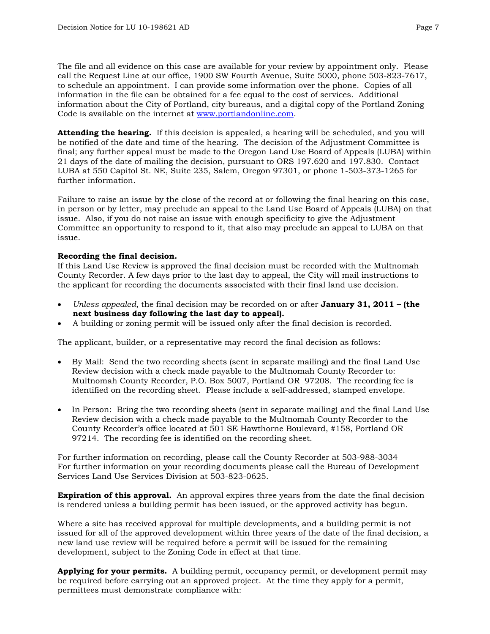The file and all evidence on this case are available for your review by appointment only. Please call the Request Line at our office, 1900 SW Fourth Avenue, Suite 5000, phone 503-823-7617, to schedule an appointment. I can provide some information over the phone. Copies of all information in the file can be obtained for a fee equal to the cost of services. Additional information about the City of Portland, city bureaus, and a digital copy of the Portland Zoning Code is available on the internet at [www.portlandonline.com](http://www.ci.portland.or.us/).

**Attending the hearing.** If this decision is appealed, a hearing will be scheduled, and you will be notified of the date and time of the hearing. The decision of the Adjustment Committee is final; any further appeal must be made to the Oregon Land Use Board of Appeals (LUBA) within 21 days of the date of mailing the decision, pursuant to ORS 197.620 and 197.830. Contact LUBA at 550 Capitol St. NE, Suite 235, Salem, Oregon 97301, or phone 1-503-373-1265 for further information.

Failure to raise an issue by the close of the record at or following the final hearing on this case, in person or by letter, may preclude an appeal to the Land Use Board of Appeals (LUBA) on that issue. Also, if you do not raise an issue with enough specificity to give the Adjustment Committee an opportunity to respond to it, that also may preclude an appeal to LUBA on that issue.

#### **Recording the final decision.**

If this Land Use Review is approved the final decision must be recorded with the Multnomah County Recorder. A few days prior to the last day to appeal, the City will mail instructions to the applicant for recording the documents associated with their final land use decision.

- *Unless appealed,* the final decision may be recorded on or after **January 31, 2011 (the next business day following the last day to appeal).**
- A building or zoning permit will be issued only after the final decision is recorded.

The applicant, builder, or a representative may record the final decision as follows:

- By Mail: Send the two recording sheets (sent in separate mailing) and the final Land Use Review decision with a check made payable to the Multnomah County Recorder to: Multnomah County Recorder, P.O. Box 5007, Portland OR 97208. The recording fee is identified on the recording sheet. Please include a self-addressed, stamped envelope.
- In Person: Bring the two recording sheets (sent in separate mailing) and the final Land Use Review decision with a check made payable to the Multnomah County Recorder to the County Recorder's office located at 501 SE Hawthorne Boulevard, #158, Portland OR 97214. The recording fee is identified on the recording sheet.

For further information on recording, please call the County Recorder at 503-988-3034 For further information on your recording documents please call the Bureau of Development Services Land Use Services Division at 503-823-0625.

**Expiration of this approval.** An approval expires three years from the date the final decision is rendered unless a building permit has been issued, or the approved activity has begun.

Where a site has received approval for multiple developments, and a building permit is not issued for all of the approved development within three years of the date of the final decision, a new land use review will be required before a permit will be issued for the remaining development, subject to the Zoning Code in effect at that time.

**Applying for your permits.** A building permit, occupancy permit, or development permit may be required before carrying out an approved project. At the time they apply for a permit, permittees must demonstrate compliance with: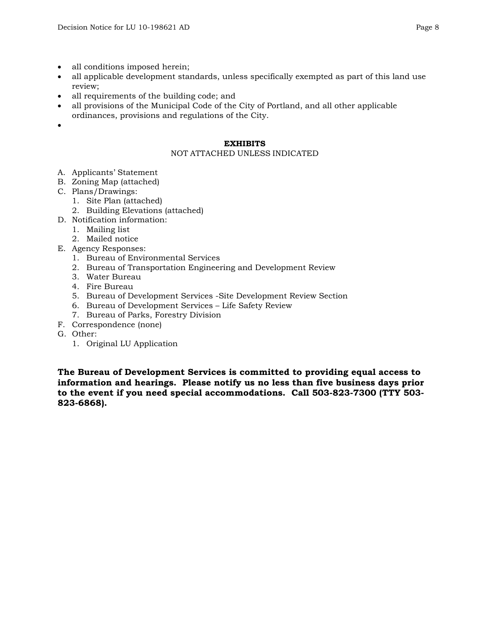- all conditions imposed herein;
- all applicable development standards, unless specifically exempted as part of this land use review;
- all requirements of the building code; and
- all provisions of the Municipal Code of the City of Portland, and all other applicable ordinances, provisions and regulations of the City.
- •

#### **EXHIBITS**

## NOT ATTACHED UNLESS INDICATED

- A. Applicants' Statement
- B. Zoning Map (attached)
- C. Plans/Drawings:
	- 1. Site Plan (attached)
	- 2. Building Elevations (attached)
- D. Notification information:
	- 1. Mailing list
	- 2. Mailed notice
- E. Agency Responses:
	- 1. Bureau of Environmental Services
	- 2. Bureau of Transportation Engineering and Development Review
	- 3. Water Bureau
	- 4. Fire Bureau
	- 5. Bureau of Development Services -Site Development Review Section
	- 6. Bureau of Development Services Life Safety Review
	- 7. Bureau of Parks, Forestry Division
- F. Correspondence (none)
- G. Other:
	- 1. Original LU Application

**The Bureau of Development Services is committed to providing equal access to information and hearings. Please notify us no less than five business days prior to the event if you need special accommodations. Call 503-823-7300 (TTY 503- 823-6868).**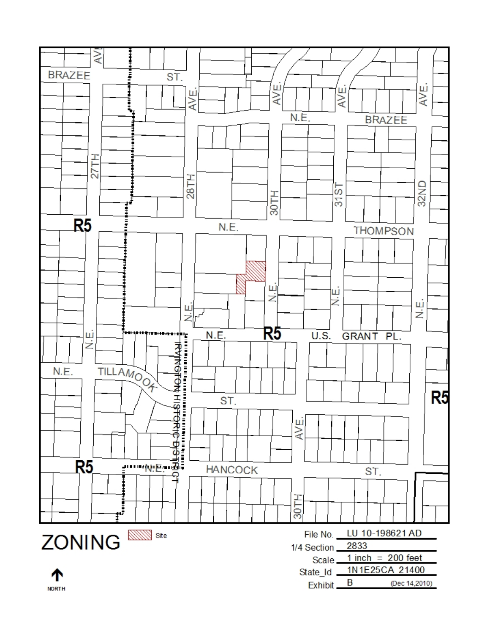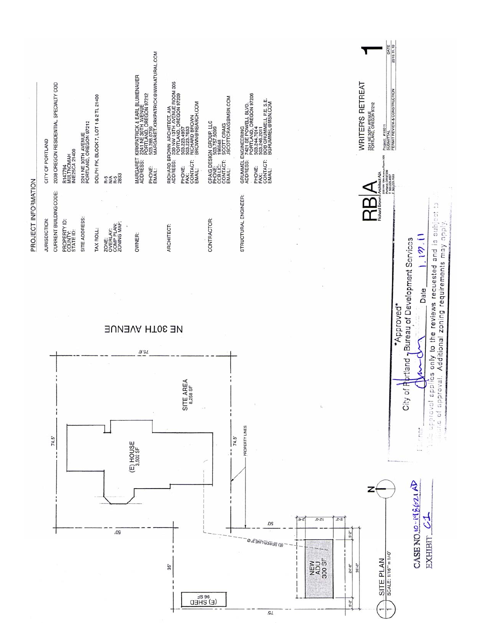